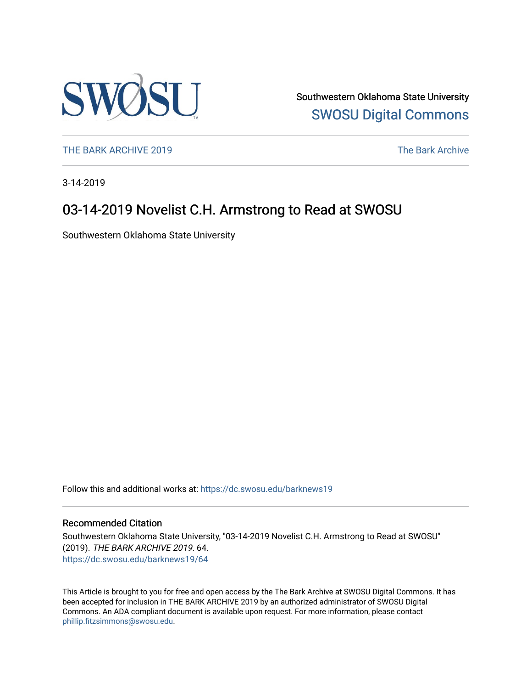

Southwestern Oklahoma State University [SWOSU Digital Commons](https://dc.swosu.edu/) 

[THE BARK ARCHIVE 2019](https://dc.swosu.edu/barknews19) The Bark Archive

3-14-2019

### 03-14-2019 Novelist C.H. Armstrong to Read at SWOSU

Southwestern Oklahoma State University

Follow this and additional works at: [https://dc.swosu.edu/barknews19](https://dc.swosu.edu/barknews19?utm_source=dc.swosu.edu%2Fbarknews19%2F64&utm_medium=PDF&utm_campaign=PDFCoverPages)

#### Recommended Citation

Southwestern Oklahoma State University, "03-14-2019 Novelist C.H. Armstrong to Read at SWOSU" (2019). THE BARK ARCHIVE 2019. 64. [https://dc.swosu.edu/barknews19/64](https://dc.swosu.edu/barknews19/64?utm_source=dc.swosu.edu%2Fbarknews19%2F64&utm_medium=PDF&utm_campaign=PDFCoverPages) 

This Article is brought to you for free and open access by the The Bark Archive at SWOSU Digital Commons. It has been accepted for inclusion in THE BARK ARCHIVE 2019 by an authorized administrator of SWOSU Digital Commons. An ADA compliant document is available upon request. For more information, please contact [phillip.fitzsimmons@swosu.edu](mailto:phillip.fitzsimmons@swosu.edu).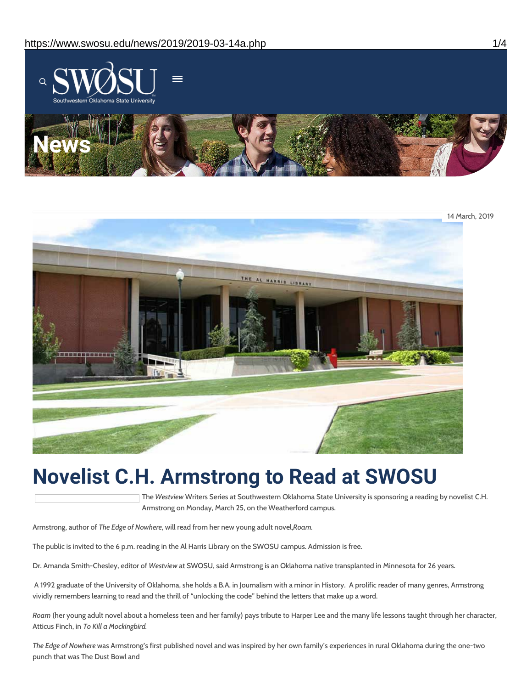



## **Novelist C.H. Armstrong to Read at SWOSU**

The *Westview* Writers Series at Southwestern Oklahoma State University is sponsoring a reading by novelist C.H. Armstrong on Monday, March 25, on the Weatherford campus.

Armstrong, author of *The Edge of Nowhere*, will read from her new young adult novel,*Roam.*

The public is invited to the 6 p.m. reading in the Al Harris Library on the SWOSU campus. Admission is free.

Dr. Amanda Smith-Chesley, editor of *Westview* at SWOSU, said Armstrong is an Oklahoma native transplanted in Minnesota for 26 years.

A 1992 graduate of the University of Oklahoma, she holds a B.A. in Journalism with a minor in History. A prolific reader of many genres, Armstrong vividly remembers learning to read and the thrill of "unlocking the code" behind the letters that make up a word.

*Roam* (her young adult novel about a homeless teen and her family) pays tribute to Harper Lee and the many life lessons taught through her character, Atticus Finch, in *To Kill a Mockingbird.*

*The Edge of Nowhere* was Armstrong's first published novel and was inspired by her own family's experiences in rural Oklahoma during the one-two punch that was The Dust Bowl and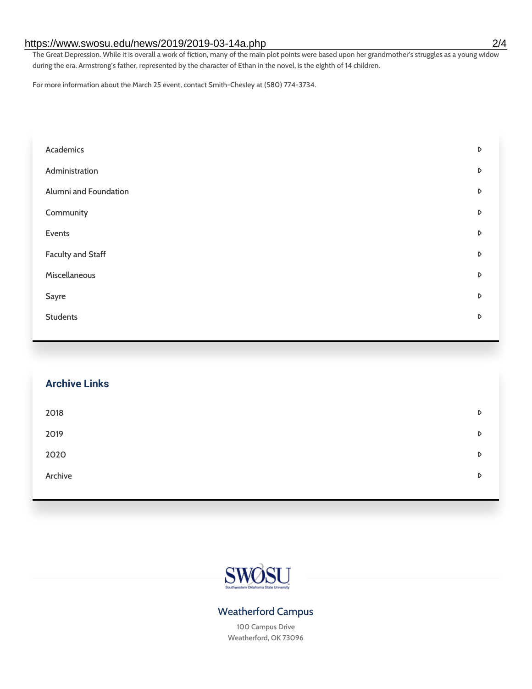#### https://www.swosu.edu/news/2019/2019-03-14a.php 2/4

The Great Depression. While it is overall a work of fiction, many of the main plot points were based upon her grandmother's struggles as a young widow during the era. Armstrong's father, represented by the character of Ethan in the novel, is the eighth of 14 children.

For more information about the March 25 event, contact Smith-Chesley at (580) 774-3734.

| Academics                | D |
|--------------------------|---|
| Administration           | D |
| Alumni and Foundation    | D |
| Community                | D |
| Events                   | D |
| <b>Faculty and Staff</b> | D |
| Miscellaneous            | D |
| Sayre                    | D |
| <b>Students</b>          | D |
|                          |   |

# **Archive Links**  $2018$  $2019$ [2020](https://www.swosu.edu/news/2020/index.php)  $\bullet$ [Archive](https://dc.swosu.edu/bark/) **Archive Archive Archive Archive Archive** Archive Archive Archive Archive Archive Archive Archive Archive



#### Weatherford Campus

100 Campus Drive Weatherford, OK 73096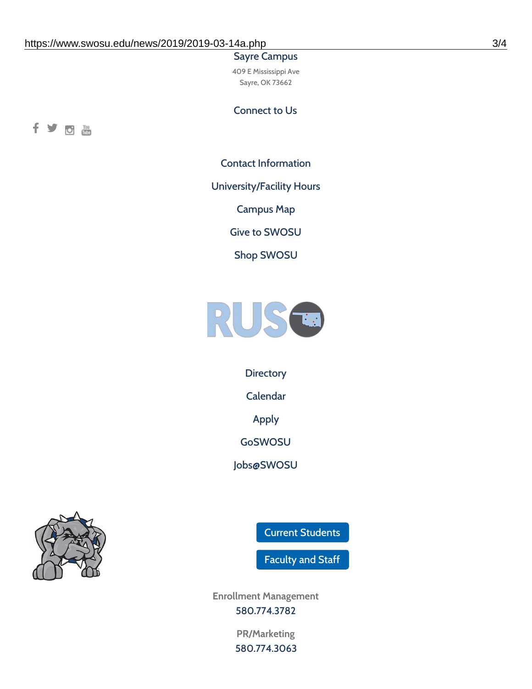#### Sayre Campus

409 E Mississippi Ave Sayre, OK 73662

Connect to Us



Contact [Information](https://www.swosu.edu/about/contact.php)

[University/Facility](https://www.swosu.edu/about/operating-hours.php) Hours

[Campus](https://map.concept3d.com/?id=768#!ct/10964,10214,10213,10212,10205,10204,10203,10202,10136,10129,10128,0,31226,10130,10201,10641,0) Map

Give to [SWOSU](https://standingfirmly.com/donate)

Shop [SWOSU](https://shopswosu.merchorders.com/)



**[Directory](https://www.swosu.edu/directory/index.php)** 

[Calendar](https://eventpublisher.dudesolutions.com/swosu/)

[Apply](https://www.swosu.edu/admissions/apply-to-swosu.php)

[GoSWOSU](https://qlsso.quicklaunchsso.com/home/1267)

[Jobs@SWOSU](https://swosu.csod.com/ux/ats/careersite/1/home?c=swosu)



Current [Students](https://bulldog.swosu.edu/index.php)

[Faculty](https://bulldog.swosu.edu/faculty-staff/index.php) and Staff

**Enrollment Management** [580.774.3782](tel:5807743782)

> **PR/Marketing** [580.774.3063](tel:5807743063)